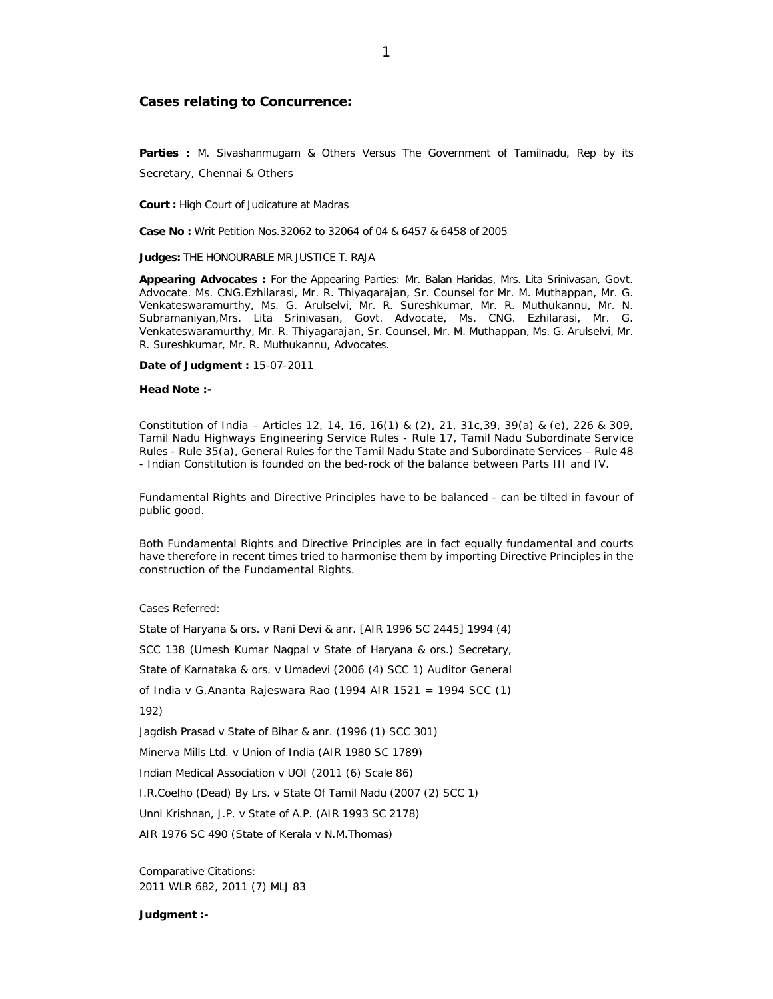## **Cases relating to Concurrence:**

**Parties :** M. Sivashanmugam & Others Versus The Government of Tamilnadu, Rep by its Secretary, Chennai & Others

**Court :** High Court of Judicature at Madras

**Case No :** Writ Petition Nos.32062 to 32064 of 04 & 6457 & 6458 of 2005

**Judges:** THE HONOURABLE MR JUSTICE T. RAJA

**Appearing Advocates :** For the Appearing Parties: Mr. Balan Haridas, Mrs. Lita Srinivasan, Govt. Advocate. Ms. CNG.Ezhilarasi, Mr. R. Thiyagarajan, Sr. Counsel for Mr. M. Muthappan, Mr. G. Venkateswaramurthy, Ms. G. Arulselvi, Mr. R. Sureshkumar, Mr. R. Muthukannu, Mr. N. Subramaniyan,Mrs. Lita Srinivasan, Govt. Advocate, Ms. CNG. Ezhilarasi, Mr. G. Venkateswaramurthy, Mr. R. Thiyagarajan, Sr. Counsel, Mr. M. Muthappan, Ms. G. Arulselvi, Mr. R. Sureshkumar, Mr. R. Muthukannu, Advocates.

**Date of Judgment :** 15-07-2011

## **Head Note :-**

Constitution of India – Articles 12, 14, 16, 16(1) & (2), 21, 31c,39, 39(a) & (e), 226 & 309, Tamil Nadu Highways Engineering Service Rules - Rule 17, Tamil Nadu Subordinate Service Rules - Rule 35(a), General Rules for the Tamil Nadu State and Subordinate Services – Rule 48 - Indian Constitution is founded on the bed-rock of the balance between Parts III and IV.

Fundamental Rights and Directive Principles have to be balanced - can be tilted in favour of public good.

Both Fundamental Rights and Directive Principles are in fact equally fundamental and courts have therefore in recent times tried to harmonise them by importing Directive Principles in the construction of the Fundamental Rights.

Cases Referred:

State of Haryana & ors. v Rani Devi & anr. [AIR 1996 SC 2445] 1994 (4) SCC 138 (Umesh Kumar Nagpal v State of Haryana & ors.) Secretary, State of Karnataka & ors. v Umadevi (2006 (4) SCC 1) Auditor General of India v G.Ananta Rajeswara Rao (1994 AIR 1521 = 1994 SCC (1) 192) Jagdish Prasad v State of Bihar & anr. (1996 (1) SCC 301) Minerva Mills Ltd. v Union of India (AIR 1980 SC 1789) Indian Medical Association v UOI (2011 (6) Scale 86) I.R.Coelho (Dead) By Lrs. v State Of Tamil Nadu (2007 (2) SCC 1) Unni Krishnan, J.P. v State of A.P. (AIR 1993 SC 2178) AIR 1976 SC 490 (State of Kerala v N.M.Thomas)

Comparative Citations: 2011 WLR 682, 2011 (7) MLJ 83

**Judgment :-**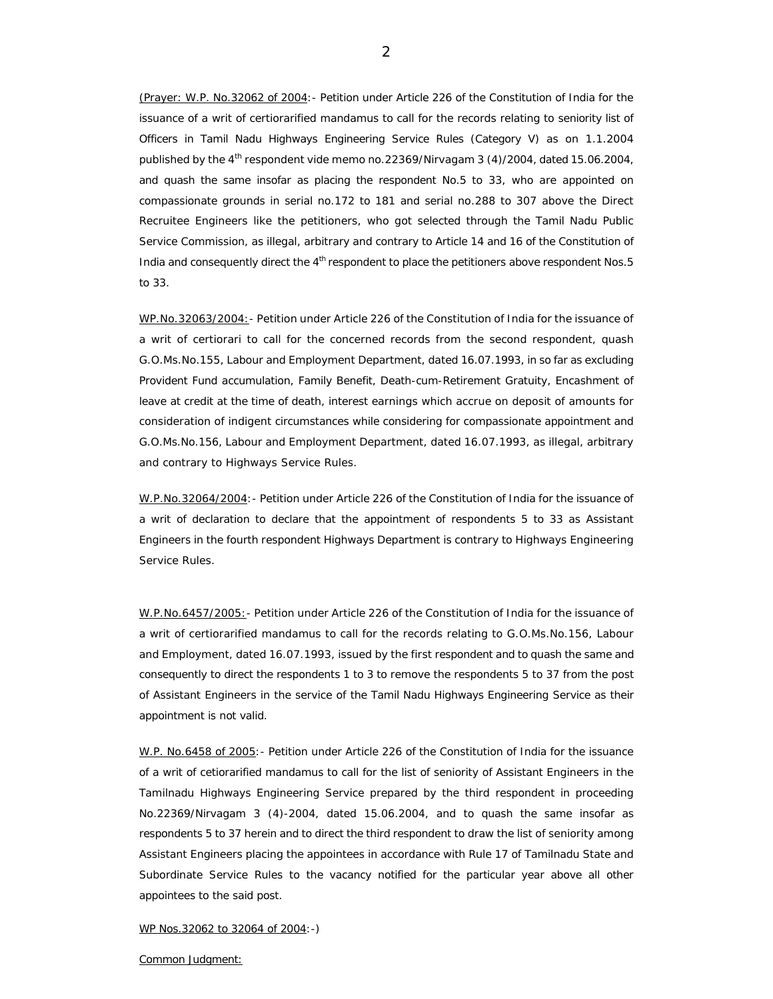(Prayer: W.P. No.32062 of 2004:- Petition under Article 226 of the Constitution of India for the issuance of a writ of certiorarified mandamus to call for the records relating to seniority list of Officers in Tamil Nadu Highways Engineering Service Rules (Category V) as on 1.1.2004 published by the  $4<sup>th</sup>$  respondent vide memo no.22369/Nirvagam 3 (4)/2004, dated 15.06.2004, and quash the same insofar as placing the respondent No.5 to 33, who are appointed on compassionate grounds in serial no.172 to 181 and serial no.288 to 307 above the Direct Recruitee Engineers like the petitioners, who got selected through the Tamil Nadu Public Service Commission, as illegal, arbitrary and contrary to Article 14 and 16 of the Constitution of India and consequently direct the 4<sup>th</sup> respondent to place the petitioners above respondent Nos.5 to 33.

WP.No.32063/2004: - Petition under Article 226 of the Constitution of India for the issuance of a writ of certiorari to call for the concerned records from the second respondent, quash G.O.Ms.No.155, Labour and Employment Department, dated 16.07.1993, in so far as excluding Provident Fund accumulation, Family Benefit, Death-cum-Retirement Gratuity, Encashment of leave at credit at the time of death, interest earnings which accrue on deposit of amounts for consideration of indigent circumstances while considering for compassionate appointment and G.O.Ms.No.156, Labour and Employment Department, dated 16.07.1993, as illegal, arbitrary and contrary to Highways Service Rules.

W.P.No.32064/2004:- Petition under Article 226 of the Constitution of India for the issuance of a writ of declaration to declare that the appointment of respondents 5 to 33 as Assistant Engineers in the fourth respondent Highways Department is contrary to Highways Engineering Service Rules.

W.P.No.6457/2005:- Petition under Article 226 of the Constitution of India for the issuance of a writ of certiorarified mandamus to call for the records relating to G.O.Ms.No.156, Labour and Employment, dated 16.07.1993, issued by the first respondent and to quash the same and consequently to direct the respondents 1 to 3 to remove the respondents 5 to 37 from the post of Assistant Engineers in the service of the Tamil Nadu Highways Engineering Service as their appointment is not valid.

W.P. No.6458 of 2005:- Petition under Article 226 of the Constitution of India for the issuance of a writ of cetiorarified mandamus to call for the list of seniority of Assistant Engineers in the Tamilnadu Highways Engineering Service prepared by the third respondent in proceeding No.22369/Nirvagam 3 (4)-2004, dated 15.06.2004, and to quash the same insofar as respondents 5 to 37 herein and to direct the third respondent to draw the list of seniority among Assistant Engineers placing the appointees in accordance with Rule 17 of Tamilnadu State and Subordinate Service Rules to the vacancy notified for the particular year above all other appointees to the said post.

## WP Nos.32062 to 32064 of 2004:-)

Common Judgment: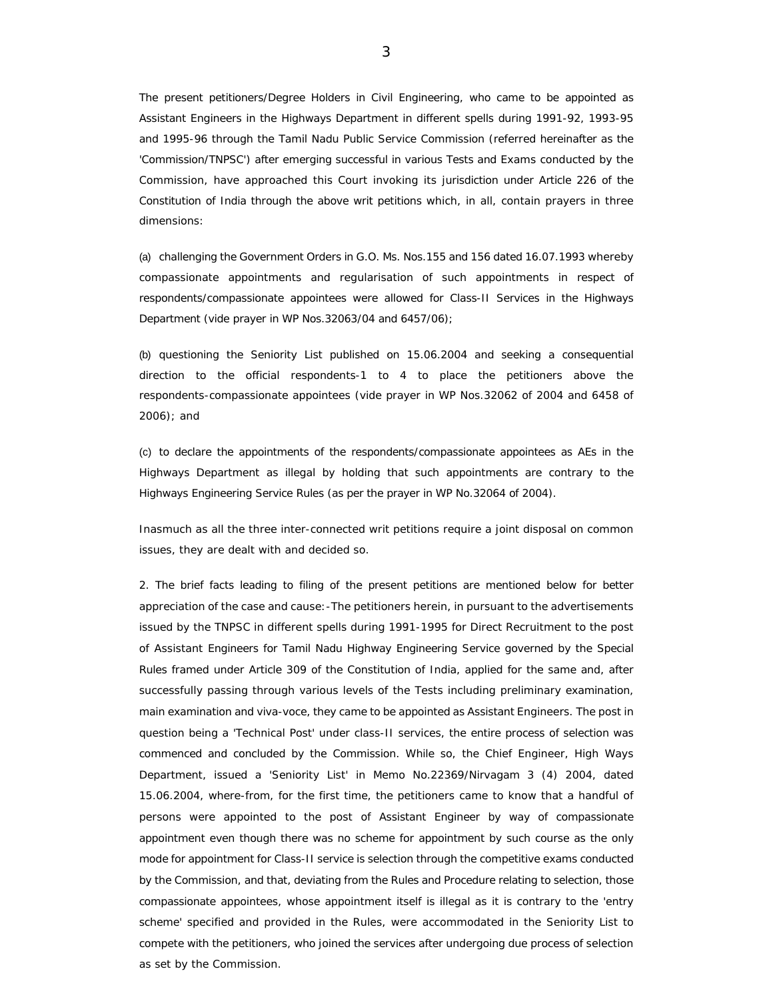The present petitioners/Degree Holders in Civil Engineering, who came to be appointed as Assistant Engineers in the Highways Department in different spells during 1991-92, 1993-95 and 1995-96 through the Tamil Nadu Public Service Commission (referred hereinafter as the 'Commission/TNPSC') after emerging successful in various Tests and Exams conducted by the Commission, have approached this Court invoking its jurisdiction under Article 226 of the Constitution of India through the above writ petitions which, in all, contain prayers in three dimensions:

(a) challenging the Government Orders in G.O. Ms. Nos.155 and 156 dated 16.07.1993 whereby compassionate appointments and regularisation of such appointments in respect of respondents/compassionate appointees were allowed for Class-II Services in the Highways Department (vide prayer in WP Nos.32063/04 and 6457/06);

(b) questioning the Seniority List published on 15.06.2004 and seeking a consequential direction to the official respondents-1 to 4 to place the petitioners above the respondents-compassionate appointees (vide prayer in WP Nos.32062 of 2004 and 6458 of 2006); and

(c) to declare the appointments of the respondents/compassionate appointees as AEs in the Highways Department as illegal by holding that such appointments are contrary to the Highways Engineering Service Rules (as per the prayer in WP No.32064 of 2004).

Inasmuch as all the three inter-connected writ petitions require a joint disposal on common issues, they are dealt with and decided so.

2. The brief facts leading to filing of the present petitions are mentioned below for better appreciation of the case and cause:-The petitioners herein, in pursuant to the advertisements issued by the TNPSC in different spells during 1991-1995 for Direct Recruitment to the post of Assistant Engineers for Tamil Nadu Highway Engineering Service governed by the Special Rules framed under Article 309 of the Constitution of India, applied for the same and, after successfully passing through various levels of the Tests including preliminary examination, main examination and viva-voce, they came to be appointed as Assistant Engineers. The post in question being a 'Technical Post' under class-II services, the entire process of selection was commenced and concluded by the Commission. While so, the Chief Engineer, High Ways Department, issued a 'Seniority List' in Memo No.22369/Nirvagam 3 (4) 2004, dated 15.06.2004, where-from, for the first time, the petitioners came to know that a handful of persons were appointed to the post of Assistant Engineer by way of compassionate appointment even though there was no scheme for appointment by such course as the only mode for appointment for Class-II service is selection through the competitive exams conducted by the Commission, and that, deviating from the Rules and Procedure relating to selection, those compassionate appointees, whose appointment itself is illegal as it is contrary to the 'entry scheme' specified and provided in the Rules, were accommodated in the Seniority List to compete with the petitioners, who joined the services after undergoing due process of selection as set by the Commission.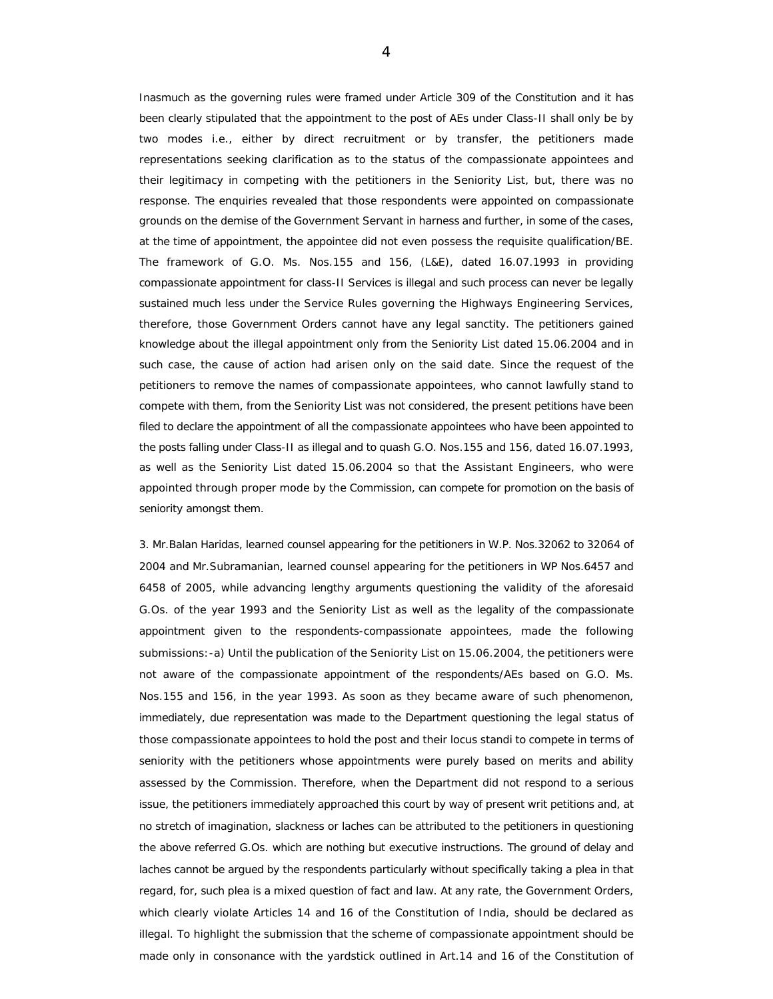Inasmuch as the governing rules were framed under Article 309 of the Constitution and it has been clearly stipulated that the appointment to the post of AEs under Class-II shall only be by two modes i.e., either by direct recruitment or by transfer, the petitioners made representations seeking clarification as to the status of the compassionate appointees and their legitimacy in competing with the petitioners in the Seniority List, but, there was no response. The enquiries revealed that those respondents were appointed on compassionate grounds on the demise of the Government Servant in harness and further, in some of the cases, at the time of appointment, the appointee did not even possess the requisite qualification/BE. The framework of G.O. Ms. Nos.155 and 156, (L&E), dated 16.07.1993 in providing compassionate appointment for class-II Services is illegal and such process can never be legally sustained much less under the Service Rules governing the Highways Engineering Services, therefore, those Government Orders cannot have any legal sanctity. The petitioners gained knowledge about the illegal appointment only from the Seniority List dated 15.06.2004 and in such case, the cause of action had arisen only on the said date. Since the request of the petitioners to remove the names of compassionate appointees, who cannot lawfully stand to compete with them, from the Seniority List was not considered, the present petitions have been filed to declare the appointment of all the compassionate appointees who have been appointed to the posts falling under Class-II as illegal and to quash G.O. Nos.155 and 156, dated 16.07.1993, as well as the Seniority List dated 15.06.2004 so that the Assistant Engineers, who were appointed through proper mode by the Commission, can compete for promotion on the basis of seniority amongst them.

3. Mr.Balan Haridas, learned counsel appearing for the petitioners in W.P. Nos.32062 to 32064 of 2004 and Mr.Subramanian, learned counsel appearing for the petitioners in WP Nos.6457 and 6458 of 2005, while advancing lengthy arguments questioning the validity of the aforesaid G.Os. of the year 1993 and the Seniority List as well as the legality of the compassionate appointment given to the respondents-compassionate appointees, made the following submissions:-a) Until the publication of the Seniority List on 15.06.2004, the petitioners were not aware of the compassionate appointment of the respondents/AEs based on G.O. Ms. Nos.155 and 156, in the year 1993. As soon as they became aware of such phenomenon, immediately, due representation was made to the Department questioning the legal status of those compassionate appointees to hold the post and their locus standi to compete in terms of seniority with the petitioners whose appointments were purely based on merits and ability assessed by the Commission. Therefore, when the Department did not respond to a serious issue, the petitioners immediately approached this court by way of present writ petitions and, at no stretch of imagination, slackness or laches can be attributed to the petitioners in questioning the above referred G.Os. which are nothing but executive instructions. The ground of delay and laches cannot be argued by the respondents particularly without specifically taking a plea in that regard, for, such plea is a mixed question of fact and law. At any rate, the Government Orders, which clearly violate Articles 14 and 16 of the Constitution of India, should be declared as illegal. To highlight the submission that the scheme of compassionate appointment should be made only in consonance with the yardstick outlined in Art.14 and 16 of the Constitution of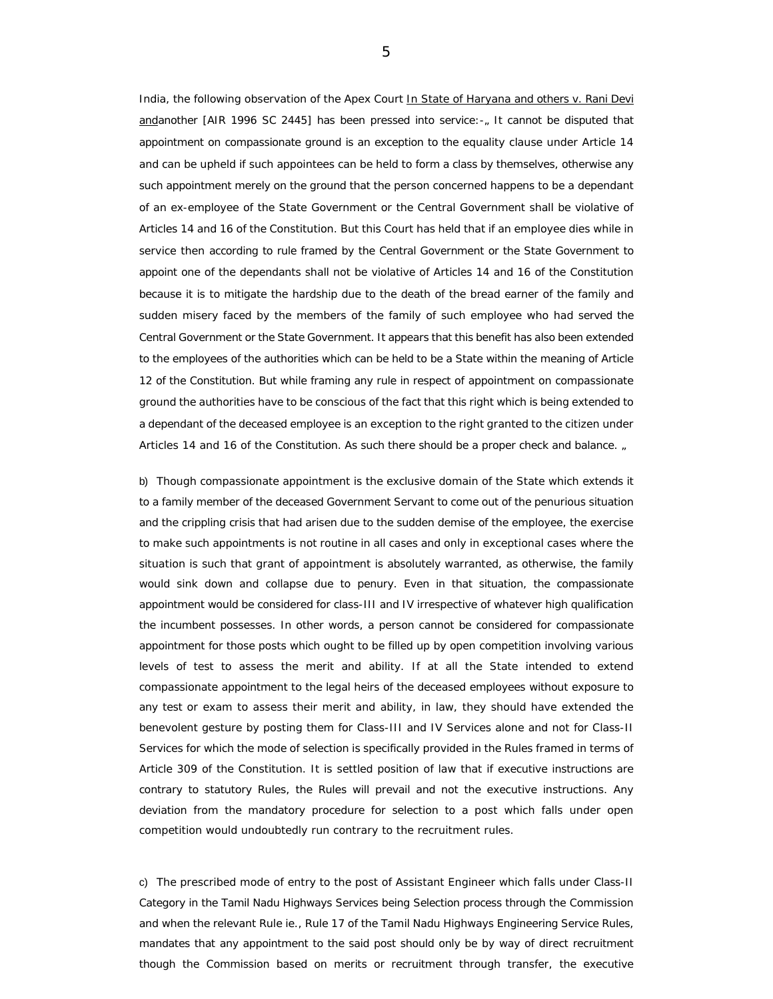India, the following observation of the Apex Court In State of Haryana and others v. Rani Devi  $and$  andanother [AIR 1996 SC 2445] has been pressed into service: $-$ , It cannot be disputed that appointment on compassionate ground is an exception to the equality clause under Article 14 and can be upheld if such appointees can be held to form a class by themselves, otherwise any such appointment merely on the ground that the person concerned happens to be a dependant of an ex-employee of the State Government or the Central Government shall be violative of Articles 14 and 16 of the Constitution. But this Court has held that if an employee dies while in service then according to rule framed by the Central Government or the State Government to appoint one of the dependants shall not be violative of Articles 14 and 16 of the Constitution because it is to mitigate the hardship due to the death of the bread earner of the family and sudden misery faced by the members of the family of such employee who had served the Central Government or the State Government. It appears that this benefit has also been extended to the employees of the authorities which can be held to be a State within the meaning of Article 12 of the Constitution. But while framing any rule in respect of appointment on compassionate ground the authorities have to be conscious of the fact that this right which is being extended to a dependant of the deceased employee is an exception to the right granted to the citizen under Articles 14 and 16 of the Constitution. As such there should be a proper check and balance.  $<sub>n</sub>$ </sub>

b) Though compassionate appointment is the exclusive domain of the State which extends it to a family member of the deceased Government Servant to come out of the penurious situation and the crippling crisis that had arisen due to the sudden demise of the employee, the exercise to make such appointments is not routine in all cases and only in exceptional cases where the situation is such that grant of appointment is absolutely warranted, as otherwise, the family would sink down and collapse due to penury. Even in that situation, the compassionate appointment would be considered for class-III and IV irrespective of whatever high qualification the incumbent possesses. In other words, a person cannot be considered for compassionate appointment for those posts which ought to be filled up by open competition involving various levels of test to assess the merit and ability. If at all the State intended to extend compassionate appointment to the legal heirs of the deceased employees without exposure to any test or exam to assess their merit and ability, in law, they should have extended the benevolent gesture by posting them for Class-III and IV Services alone and not for Class-II Services for which the mode of selection is specifically provided in the Rules framed in terms of Article 309 of the Constitution. It is settled position of law that if executive instructions are contrary to statutory Rules, the Rules will prevail and not the executive instructions. Any deviation from the mandatory procedure for selection to a post which falls under open competition would undoubtedly run contrary to the recruitment rules.

c) The prescribed mode of entry to the post of Assistant Engineer which falls under Class-II Category in the Tamil Nadu Highways Services being Selection process through the Commission and when the relevant Rule ie., Rule 17 of the Tamil Nadu Highways Engineering Service Rules, mandates that any appointment to the said post should only be by way of direct recruitment though the Commission based on merits or recruitment through transfer, the executive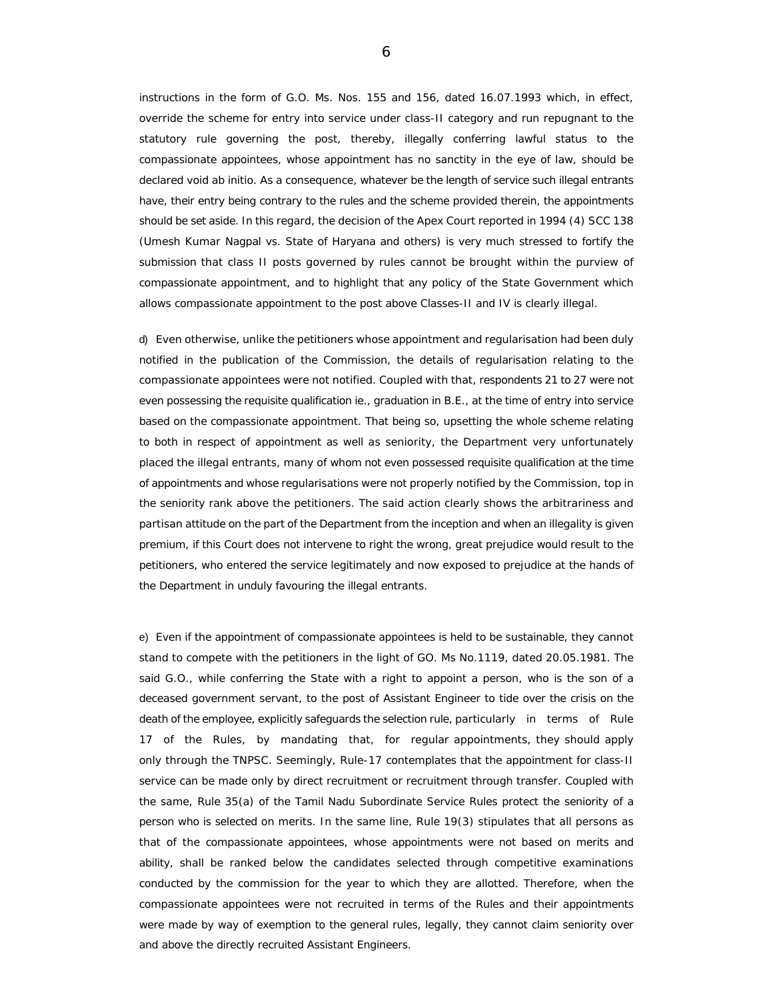instructions in the form of G.O. Ms. Nos. 155 and 156, dated 16.07.1993 which, in effect, override the scheme for entry into service under class-II category and run repugnant to the statutory rule governing the post, thereby, illegally conferring lawful status to the compassionate appointees, whose appointment has no sanctity in the eye of law, should be declared void ab initio. As a consequence, whatever be the length of service such illegal entrants have, their entry being contrary to the rules and the scheme provided therein, the appointments should be set aside. In this regard, the decision of the Apex Court reported in 1994 (4) SCC 138 (Umesh Kumar Nagpal vs. State of Haryana and others) is very much stressed to fortify the submission that class II posts governed by rules cannot be brought within the purview of compassionate appointment, and to highlight that any policy of the State Government which allows compassionate appointment to the post above Classes-II and IV is clearly illegal.

d) Even otherwise, unlike the petitioners whose appointment and regularisation had been duly notified in the publication of the Commission, the details of regularisation relating to the compassionate appointees were not notified. Coupled with that, respondents 21 to 27 were not even possessing the requisite qualification ie., graduation in B.E., at the time of entry into service based on the compassionate appointment. That being so, upsetting the whole scheme relating to both in respect of appointment as well as seniority, the Department very unfortunately placed the illegal entrants, many of whom not even possessed requisite qualification at the time of appointments and whose regularisations were not properly notified by the Commission, top in the seniority rank above the petitioners. The said action clearly shows the arbitrariness and partisan attitude on the part of the Department from the inception and when an illegality is given premium, if this Court does not intervene to right the wrong, great prejudice would result to the petitioners, who entered the service legitimately and now exposed to prejudice at the hands of the Department in unduly favouring the illegal entrants.

e) Even if the appointment of compassionate appointees is held to be sustainable, they cannot stand to compete with the petitioners in the light of GO. Ms No.1119, dated 20.05.1981. The said G.O., while conferring the State with a right to appoint a person, who is the son of a deceased government servant, to the post of Assistant Engineer to tide over the crisis on the death of the employee, explicitly safeguards the selection rule, particularly in terms of Rule 17 of the Rules, by mandating that, for regular appointments, they should apply only through the TNPSC. Seemingly, Rule-17 contemplates that the appointment for class-II service can be made only by direct recruitment or recruitment through transfer. Coupled with the same, Rule 35(a) of the Tamil Nadu Subordinate Service Rules protect the seniority of a person who is selected on merits. In the same line, Rule 19(3) stipulates that all persons as that of the compassionate appointees, whose appointments were not based on merits and ability, shall be ranked below the candidates selected through competitive examinations conducted by the commission for the year to which they are allotted. Therefore, when the compassionate appointees were not recruited in terms of the Rules and their appointments were made by way of exemption to the general rules, legally, they cannot claim seniority over and above the directly recruited Assistant Engineers.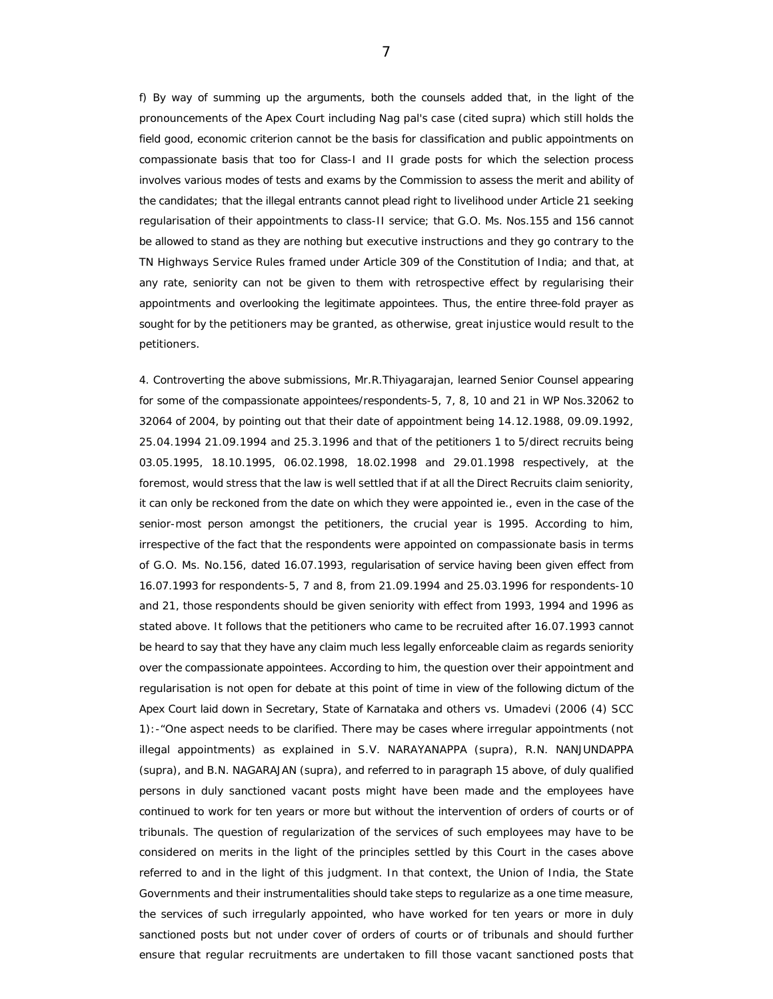f) By way of summing up the arguments, both the counsels added that, in the light of the pronouncements of the Apex Court including Nag pal's case (cited supra) which still holds the field good, economic criterion cannot be the basis for classification and public appointments on compassionate basis that too for Class-I and II grade posts for which the selection process involves various modes of tests and exams by the Commission to assess the merit and ability of the candidates; that the illegal entrants cannot plead right to livelihood under Article 21 seeking regularisation of their appointments to class-II service; that G.O. Ms. Nos.155 and 156 cannot be allowed to stand as they are nothing but executive instructions and they go contrary to the TN Highways Service Rules framed under Article 309 of the Constitution of India; and that, at any rate, seniority can not be given to them with retrospective effect by regularising their appointments and overlooking the legitimate appointees. Thus, the entire three-fold prayer as sought for by the petitioners may be granted, as otherwise, great injustice would result to the petitioners.

4. Controverting the above submissions, Mr.R.Thiyagarajan, learned Senior Counsel appearing for some of the compassionate appointees/respondents-5, 7, 8, 10 and 21 in WP Nos.32062 to 32064 of 2004, by pointing out that their date of appointment being 14.12.1988, 09.09.1992, 25.04.1994 21.09.1994 and 25.3.1996 and that of the petitioners 1 to 5/direct recruits being 03.05.1995, 18.10.1995, 06.02.1998, 18.02.1998 and 29.01.1998 respectively, at the foremost, would stress that the law is well settled that if at all the Direct Recruits claim seniority, it can only be reckoned from the date on which they were appointed ie., even in the case of the senior-most person amongst the petitioners, the crucial year is 1995. According to him, irrespective of the fact that the respondents were appointed on compassionate basis in terms of G.O. Ms. No.156, dated 16.07.1993, regularisation of service having been given effect from 16.07.1993 for respondents-5, 7 and 8, from 21.09.1994 and 25.03.1996 for respondents-10 and 21, those respondents should be given seniority with effect from 1993, 1994 and 1996 as stated above. It follows that the petitioners who came to be recruited after 16.07.1993 cannot be heard to say that they have any claim much less legally enforceable claim as regards seniority over the compassionate appointees. According to him, the question over their appointment and regularisation is not open for debate at this point of time in view of the following dictum of the Apex Court laid down in Secretary, State of Karnataka and others vs. Umadevi (2006 (4) SCC 1):-"One aspect needs to be clarified. There may be cases where irregular appointments (not illegal appointments) as explained in S.V. NARAYANAPPA (supra), R.N. NANJUNDAPPA (supra), and B.N. NAGARAJAN (supra), and referred to in paragraph 15 above, of duly qualified persons in duly sanctioned vacant posts might have been made and the employees have continued to work for ten years or more but without the intervention of orders of courts or of tribunals. The question of regularization of the services of such employees may have to be considered on merits in the light of the principles settled by this Court in the cases above referred to and in the light of this judgment. In that context, the Union of India, the State Governments and their instrumentalities should take steps to regularize as a one time measure, the services of such irregularly appointed, who have worked for ten years or more in duly sanctioned posts but not under cover of orders of courts or of tribunals and should further ensure that regular recruitments are undertaken to fill those vacant sanctioned posts that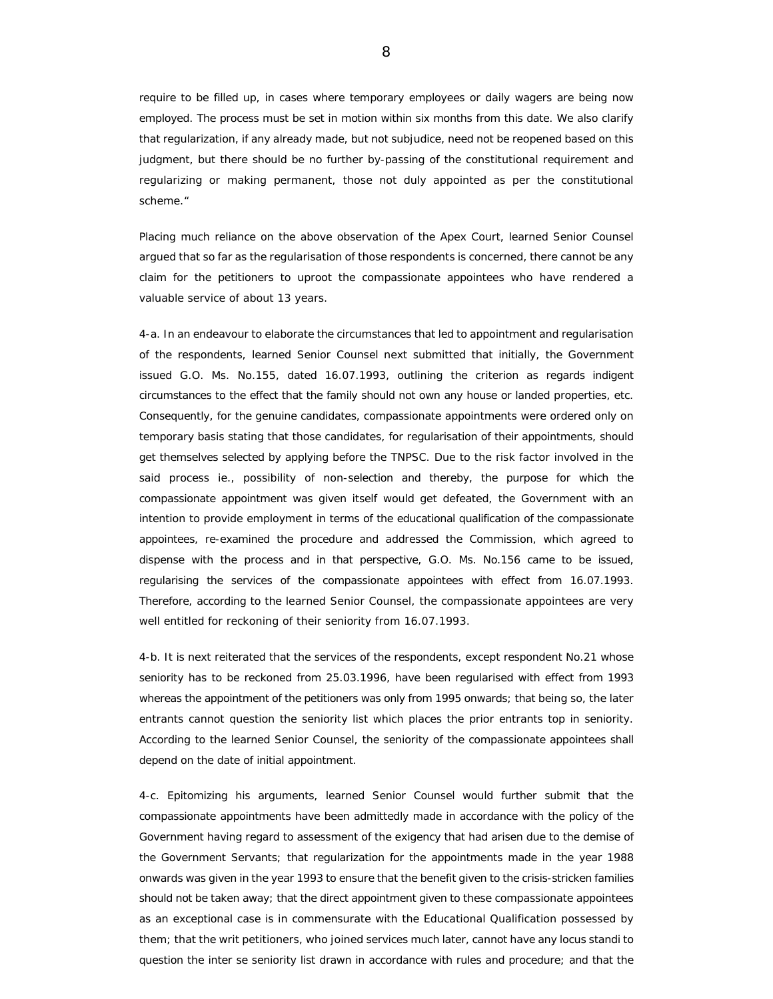require to be filled up, in cases where temporary employees or daily wagers are being now employed. The process must be set in motion within six months from this date. We also clarify that regularization, if any already made, but not subjudice, need not be reopened based on this judgment, but there should be no further by-passing of the constitutional requirement and regularizing or making permanent, those not duly appointed as per the constitutional scheme."

Placing much reliance on the above observation of the Apex Court, learned Senior Counsel argued that so far as the regularisation of those respondents is concerned, there cannot be any claim for the petitioners to uproot the compassionate appointees who have rendered a valuable service of about 13 years.

4-a. In an endeavour to elaborate the circumstances that led to appointment and regularisation of the respondents, learned Senior Counsel next submitted that initially, the Government issued G.O. Ms. No.155, dated 16.07.1993, outlining the criterion as regards indigent circumstances to the effect that the family should not own any house or landed properties, etc. Consequently, for the genuine candidates, compassionate appointments were ordered only on temporary basis stating that those candidates, for regularisation of their appointments, should get themselves selected by applying before the TNPSC. Due to the risk factor involved in the said process ie., possibility of non-selection and thereby, the purpose for which the compassionate appointment was given itself would get defeated, the Government with an intention to provide employment in terms of the educational qualification of the compassionate appointees, re-examined the procedure and addressed the Commission, which agreed to dispense with the process and in that perspective, G.O. Ms. No.156 came to be issued, regularising the services of the compassionate appointees with effect from 16.07.1993. Therefore, according to the learned Senior Counsel, the compassionate appointees are very well entitled for reckoning of their seniority from 16.07.1993.

4-b. It is next reiterated that the services of the respondents, except respondent No.21 whose seniority has to be reckoned from 25.03.1996, have been regularised with effect from 1993 whereas the appointment of the petitioners was only from 1995 onwards; that being so, the later entrants cannot question the seniority list which places the prior entrants top in seniority. According to the learned Senior Counsel, the seniority of the compassionate appointees shall depend on the date of initial appointment.

4-c. Epitomizing his arguments, learned Senior Counsel would further submit that the compassionate appointments have been admittedly made in accordance with the policy of the Government having regard to assessment of the exigency that had arisen due to the demise of the Government Servants; that regularization for the appointments made in the year 1988 onwards was given in the year 1993 to ensure that the benefit given to the crisis-stricken families should not be taken away; that the direct appointment given to these compassionate appointees as an exceptional case is in commensurate with the Educational Qualification possessed by them; that the writ petitioners, who joined services much later, cannot have any locus standi to question the inter se seniority list drawn in accordance with rules and procedure; and that the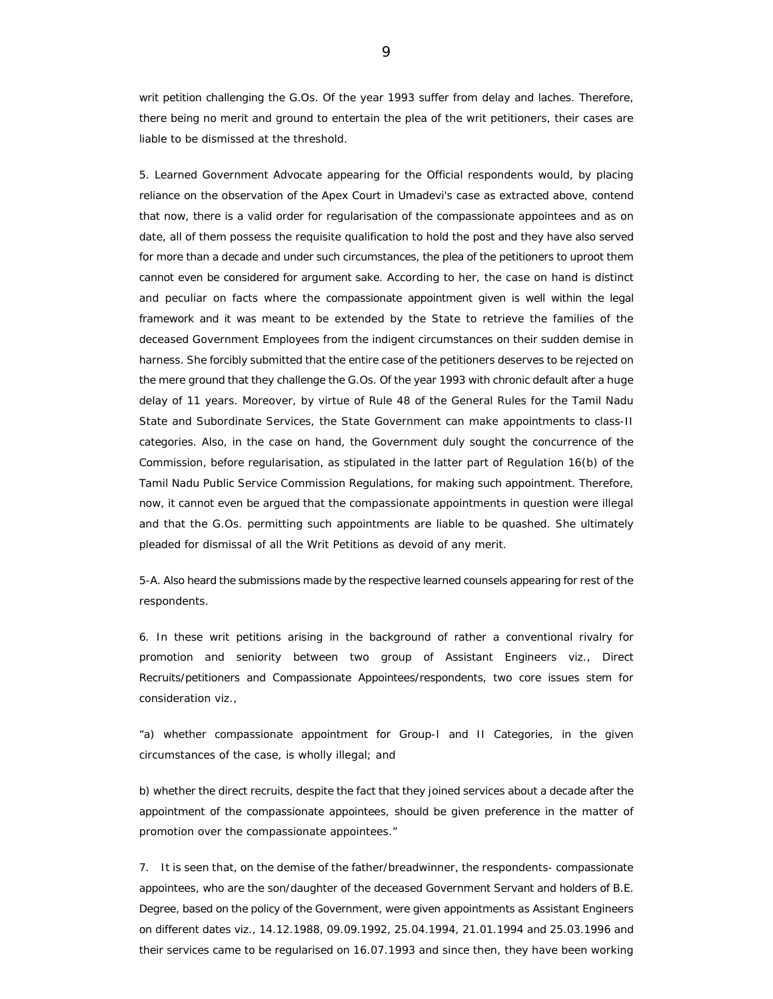writ petition challenging the G.Os. Of the year 1993 suffer from delay and laches. Therefore, there being no merit and ground to entertain the plea of the writ petitioners, their cases are liable to be dismissed at the threshold.

5. Learned Government Advocate appearing for the Official respondents would, by placing reliance on the observation of the Apex Court in Umadevi's case as extracted above, contend that now, there is a valid order for regularisation of the compassionate appointees and as on date, all of them possess the requisite qualification to hold the post and they have also served for more than a decade and under such circumstances, the plea of the petitioners to uproot them cannot even be considered for argument sake. According to her, the case on hand is distinct and peculiar on facts where the compassionate appointment given is well within the legal framework and it was meant to be extended by the State to retrieve the families of the deceased Government Employees from the indigent circumstances on their sudden demise in harness. She forcibly submitted that the entire case of the petitioners deserves to be rejected on the mere ground that they challenge the G.Os. Of the year 1993 with chronic default after a huge delay of 11 years. Moreover, by virtue of Rule 48 of the General Rules for the Tamil Nadu State and Subordinate Services, the State Government can make appointments to class-II categories. Also, in the case on hand, the Government duly sought the concurrence of the Commission, before regularisation, as stipulated in the latter part of Regulation 16(b) of the Tamil Nadu Public Service Commission Regulations, for making such appointment. Therefore, now, it cannot even be argued that the compassionate appointments in question were illegal and that the G.Os. permitting such appointments are liable to be quashed. She ultimately pleaded for dismissal of all the Writ Petitions as devoid of any merit.

5-A. Also heard the submissions made by the respective learned counsels appearing for rest of the respondents.

6. In these writ petitions arising in the background of rather a conventional rivalry for promotion and seniority between two group of Assistant Engineers viz., Direct Recruits/petitioners and Compassionate Appointees/respondents, two core issues stem for consideration viz.,

"a) whether compassionate appointment for Group-I and II Categories, in the given circumstances of the case, is wholly illegal; and

b) whether the direct recruits, despite the fact that they joined services about a decade after the appointment of the compassionate appointees, should be given preference in the matter of promotion over the compassionate appointees."

7. It is seen that, on the demise of the father/breadwinner, the respondents- compassionate appointees, who are the son/daughter of the deceased Government Servant and holders of B.E. Degree, based on the policy of the Government, were given appointments as Assistant Engineers on different dates viz., 14.12.1988, 09.09.1992, 25.04.1994, 21.01.1994 and 25.03.1996 and their services came to be regularised on 16.07.1993 and since then, they have been working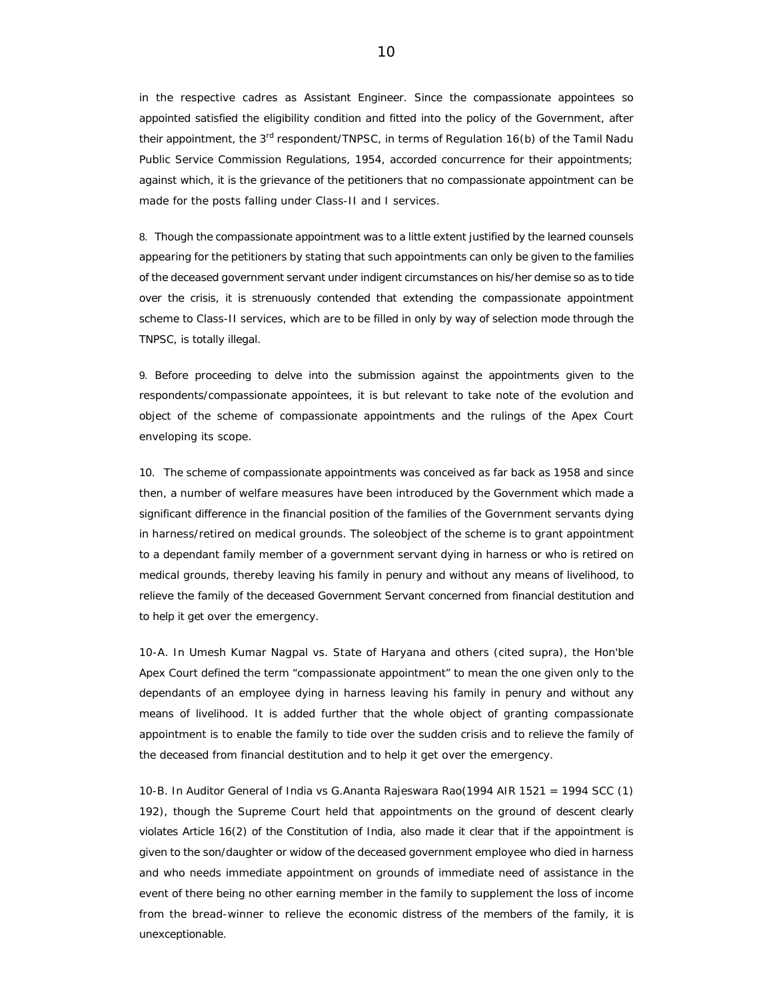in the respective cadres as Assistant Engineer. Since the compassionate appointees so appointed satisfied the eligibility condition and fitted into the policy of the Government, after their appointment, the 3<sup>rd</sup> respondent/TNPSC, in terms of Regulation 16(b) of the Tamil Nadu Public Service Commission Regulations, 1954, accorded concurrence for their appointments; against which, it is the grievance of the petitioners that no compassionate appointment can be made for the posts falling under Class-II and I services.

8. Though the compassionate appointment was to a little extent justified by the learned counsels appearing for the petitioners by stating that such appointments can only be given to the families of the deceased government servant under indigent circumstances on his/her demise so as to tide over the crisis, it is strenuously contended that extending the compassionate appointment scheme to Class-II services, which are to be filled in only by way of selection mode through the TNPSC, is totally illegal.

9. Before proceeding to delve into the submission against the appointments given to the respondents/compassionate appointees, it is but relevant to take note of the evolution and object of the scheme of compassionate appointments and the rulings of the Apex Court enveloping its scope.

10. The scheme of compassionate appointments was conceived as far back as 1958 and since then, a number of welfare measures have been introduced by the Government which made a significant difference in the financial position of the families of the Government servants dying in harness/retired on medical grounds. The soleobject of the scheme is to grant appointment to a dependant family member of a government servant dying in harness or who is retired on medical grounds, thereby leaving his family in penury and without any means of livelihood, to relieve the family of the deceased Government Servant concerned from financial destitution and to help it get over the emergency.

10-A. In Umesh Kumar Nagpal vs. State of Haryana and others (cited supra), the Hon'ble Apex Court defined the term "compassionate appointment" to mean the one given only to the dependants of an employee dying in harness leaving his family in penury and without any means of livelihood. It is added further that the whole object of granting compassionate appointment is to enable the family to tide over the sudden crisis and to relieve the family of the deceased from financial destitution and to help it get over the emergency.

10-B. In Auditor General of India vs G.Ananta Rajeswara Rao(1994 AIR 1521 = 1994 SCC (1) 192), though the Supreme Court held that appointments on the ground of descent clearly violates Article 16(2) of the Constitution of India, also made it clear that if the appointment is given to the son/daughter or widow of the deceased government employee who died in harness and who needs immediate appointment on grounds of immediate need of assistance in the event of there being no other earning member in the family to supplement the loss of income from the bread-winner to relieve the economic distress of the members of the family, it is unexceptionable.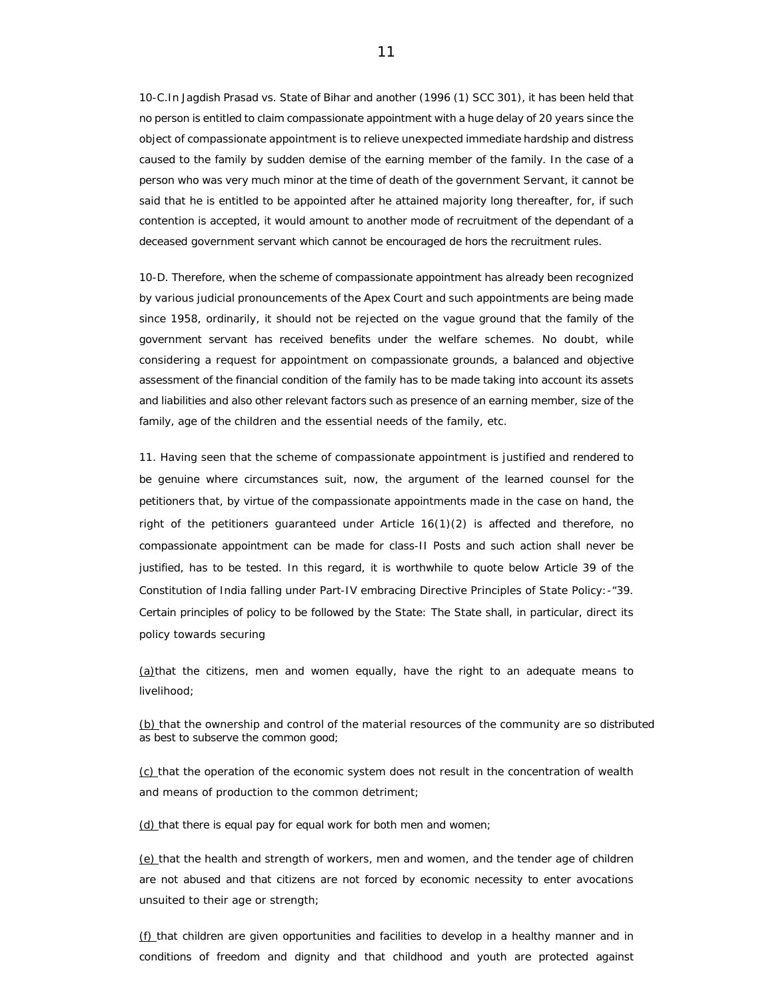10-C.In Jagdish Prasad vs. State of Bihar and another (1996 (1) SCC 301), it has been held that no person is entitled to claim compassionate appointment with a huge delay of 20 years since the object of compassionate appointment is to relieve unexpected immediate hardship and distress caused to the family by sudden demise of the earning member of the family. In the case of a person who was very much minor at the time of death of the government Servant, it cannot be said that he is entitled to be appointed after he attained majority long thereafter, for, if such contention is accepted, it would amount to another mode of recruitment of the dependant of a deceased government servant which cannot be encouraged de hors the recruitment rules.

10-D. Therefore, when the scheme of compassionate appointment has already been recognized by various judicial pronouncements of the Apex Court and such appointments are being made since 1958, ordinarily, it should not be rejected on the vague ground that the family of the government servant has received benefits under the welfare schemes. No doubt, while considering a request for appointment on compassionate grounds, a balanced and objective assessment of the financial condition of the family has to be made taking into account its assets and liabilities and also other relevant factors such as presence of an earning member, size of the family, age of the children and the essential needs of the family, etc.

11. Having seen that the scheme of compassionate appointment is justified and rendered to be genuine where circumstances suit, now, the argument of the learned counsel for the petitioners that, by virtue of the compassionate appointments made in the case on hand, the right of the petitioners guaranteed under Article 16(1)(2) is affected and therefore, no compassionate appointment can be made for class-II Posts and such action shall never be justified, has to be tested. In this regard, it is worthwhile to quote below Article 39 of the Constitution of India falling under Part-IV embracing Directive Principles of State Policy:-"39. Certain principles of policy to be followed by the State: The State shall, in particular, direct its policy towards securing

(a)that the citizens, men and women equally, have the right to an adequate means to livelihood;

(b) that the ownership and control of the material resources of the community are so distributed as best to subserve the common good;

 $(c)$  that the operation of the economic system does not result in the concentration of wealth and means of production to the common detriment;

(d) that there is equal pay for equal work for both men and women;

(e) that the health and strength of workers, men and women, and the tender age of children are not abused and that citizens are not forced by economic necessity to enter avocations unsuited to their age or strength;

(f) that children are given opportunities and facilities to develop in a healthy manner and in conditions of freedom and dignity and that childhood and youth are protected against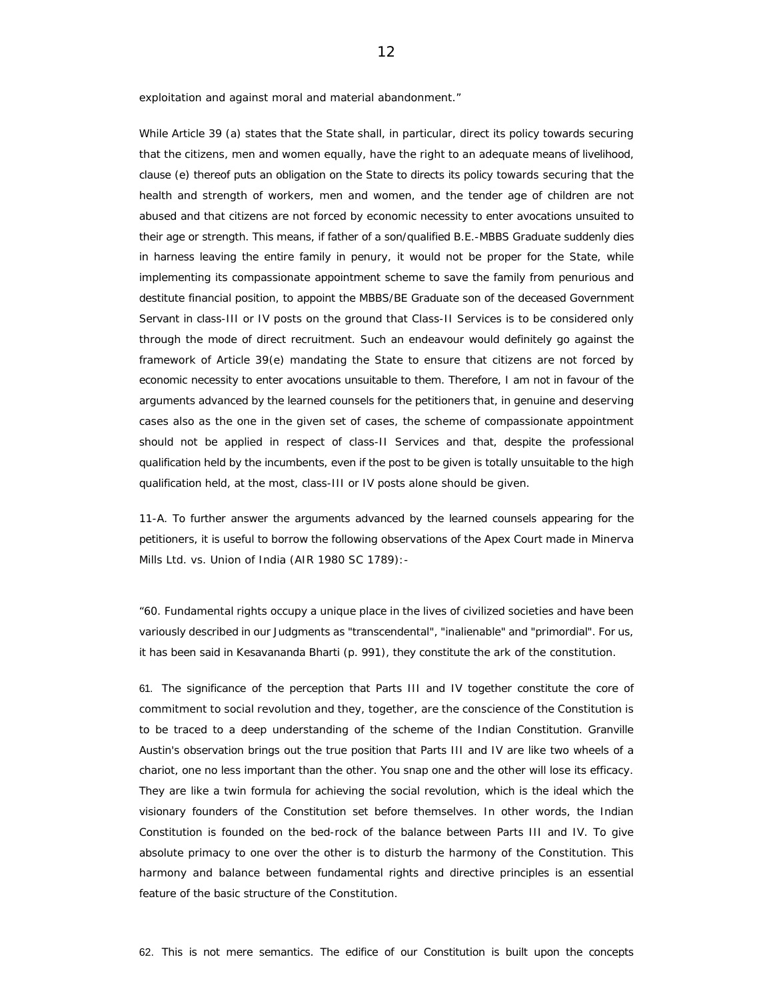exploitation and against moral and material abandonment."

While Article 39 (a) states that the State shall, in particular, direct its policy towards securing that the citizens, men and women equally, have the right to an adequate means of livelihood, clause (e) thereof puts an obligation on the State to directs its policy towards securing that the health and strength of workers, men and women, and the tender age of children are not abused and that citizens are not forced by economic necessity to enter avocations unsuited to their age or strength. This means, if father of a son/qualified B.E.-MBBS Graduate suddenly dies in harness leaving the entire family in penury, it would not be proper for the State, while implementing its compassionate appointment scheme to save the family from penurious and destitute financial position, to appoint the MBBS/BE Graduate son of the deceased Government Servant in class-III or IV posts on the ground that Class-II Services is to be considered only through the mode of direct recruitment. Such an endeavour would definitely go against the framework of Article 39(e) mandating the State to ensure that citizens are not forced by economic necessity to enter avocations unsuitable to them. Therefore, I am not in favour of the arguments advanced by the learned counsels for the petitioners that, in genuine and deserving cases also as the one in the given set of cases, the scheme of compassionate appointment should not be applied in respect of class-II Services and that, despite the professional qualification held by the incumbents, even if the post to be given is totally unsuitable to the high qualification held, at the most, class-III or IV posts alone should be given.

11-A. To further answer the arguments advanced by the learned counsels appearing for the petitioners, it is useful to borrow the following observations of the Apex Court made in Minerva Mills Ltd. vs. Union of India (AIR 1980 SC 1789):-

"60. Fundamental rights occupy a unique place in the lives of civilized societies and have been variously described in our Judgments as "transcendental", "inalienable" and "primordial". For us, it has been said in Kesavananda Bharti (p. 991), they constitute the ark of the constitution.

61. The significance of the perception that Parts III and IV together constitute the core of commitment to social revolution and they, together, are the conscience of the Constitution is to be traced to a deep understanding of the scheme of the Indian Constitution. Granville Austin's observation brings out the true position that Parts III and IV are like two wheels of a chariot, one no less important than the other. You snap one and the other will lose its efficacy. They are like a twin formula for achieving the social revolution, which is the ideal which the visionary founders of the Constitution set before themselves. In other words, the Indian Constitution is founded on the bed-rock of the balance between Parts III and IV. To give absolute primacy to one over the other is to disturb the harmony of the Constitution. This harmony and balance between fundamental rights and directive principles is an essential feature of the basic structure of the Constitution.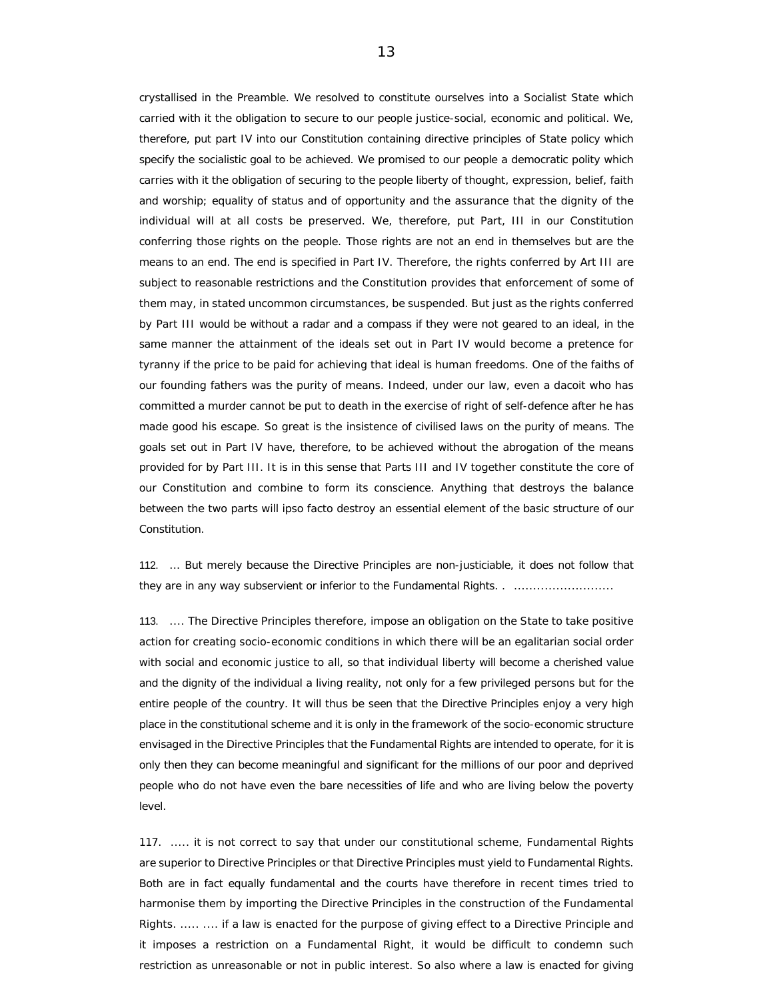crystallised in the Preamble. We resolved to constitute ourselves into a Socialist State which carried with it the obligation to secure to our people justice-social, economic and political. We, therefore, put part IV into our Constitution containing directive principles of State policy which specify the socialistic goal to be achieved. We promised to our people a democratic polity which carries with it the obligation of securing to the people liberty of thought, expression, belief, faith and worship; equality of status and of opportunity and the assurance that the dignity of the individual will at all costs be preserved. We, therefore, put Part, III in our Constitution conferring those rights on the people. Those rights are not an end in themselves but are the means to an end. The end is specified in Part IV. Therefore, the rights conferred by Art III are subject to reasonable restrictions and the Constitution provides that enforcement of some of them may, in stated uncommon circumstances, be suspended. But just as the rights conferred by Part III would be without a radar and a compass if they were not geared to an ideal, in the same manner the attainment of the ideals set out in Part IV would become a pretence for tyranny if the price to be paid for achieving that ideal is human freedoms. One of the faiths of our founding fathers was the purity of means. Indeed, under our law, even a dacoit who has committed a murder cannot be put to death in the exercise of right of self-defence after he has made good his escape. So great is the insistence of civilised laws on the purity of means. The goals set out in Part IV have, therefore, to be achieved without the abrogation of the means provided for by Part III. It is in this sense that Parts III and IV together constitute the core of our Constitution and combine to form its conscience. Anything that destroys the balance between the two parts will ipso facto destroy an essential element of the basic structure of our Constitution.

112. ... But merely because the Directive Principles are non-justiciable, it does not follow that they are in any way subservient or inferior to the Fundamental Rights. . ..........................

113. .... The Directive Principles therefore, impose an obligation on the State to take positive action for creating socio-economic conditions in which there will be an egalitarian social order with social and economic justice to all, so that individual liberty will become a cherished value and the dignity of the individual a living reality, not only for a few privileged persons but for the entire people of the country. It will thus be seen that the Directive Principles enjoy a very high place in the constitutional scheme and it is only in the framework of the socio-economic structure envisaged in the Directive Principles that the Fundamental Rights are intended to operate, for it is only then they can become meaningful and significant for the millions of our poor and deprived people who do not have even the bare necessities of life and who are living below the poverty level.

117. ..... it is not correct to say that under our constitutional scheme, Fundamental Rights are superior to Directive Principles or that Directive Principles must yield to Fundamental Rights. Both are in fact equally fundamental and the courts have therefore in recent times tried to harmonise them by importing the Directive Principles in the construction of the Fundamental Rights. ..... .... if a law is enacted for the purpose of giving effect to a Directive Principle and it imposes a restriction on a Fundamental Right, it would be difficult to condemn such restriction as unreasonable or not in public interest. So also where a law is enacted for giving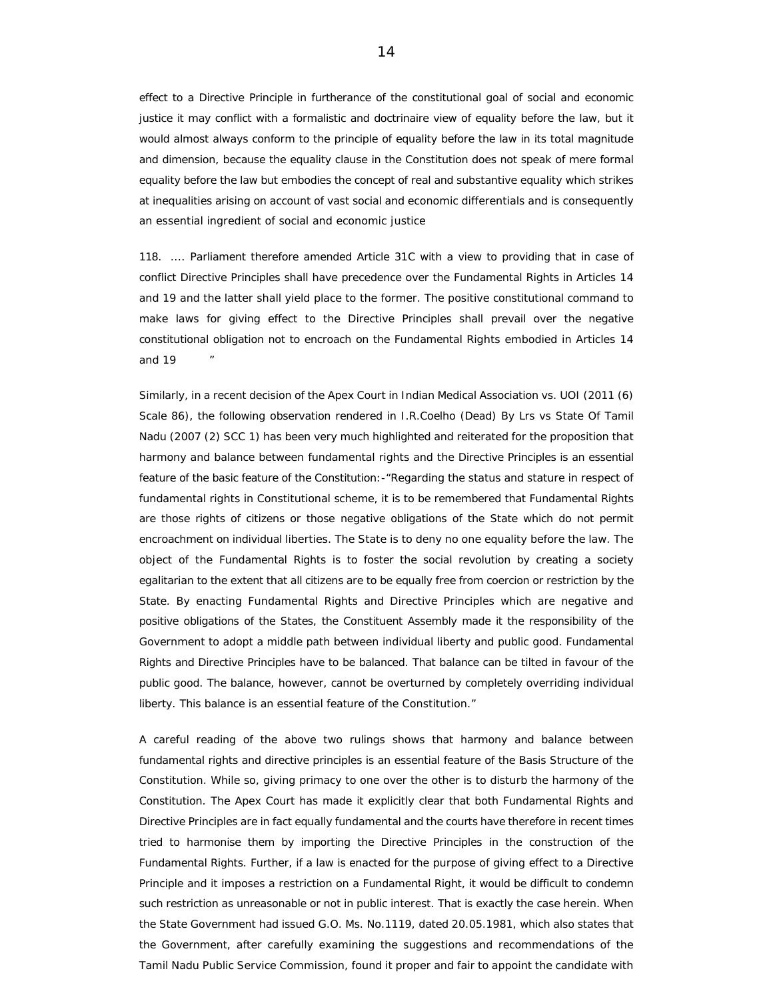effect to a Directive Principle in furtherance of the constitutional goal of social and economic justice it may conflict with a formalistic and doctrinaire view of equality before the law, but it would almost always conform to the principle of equality before the law in its total magnitude and dimension, because the equality clause in the Constitution does not speak of mere formal equality before the law but embodies the concept of real and substantive equality which strikes at inequalities arising on account of vast social and economic differentials and is consequently an essential ingredient of social and economic justice

118. .... Parliament therefore amended Article 31C with a view to providing that in case of conflict Directive Principles shall have precedence over the Fundamental Rights in Articles 14 and 19 and the latter shall yield place to the former. The positive constitutional command to make laws for giving effect to the Directive Principles shall prevail over the negative constitutional obligation not to encroach on the Fundamental Rights embodied in Articles 14 and  $19$ 

Similarly, in a recent decision of the Apex Court in Indian Medical Association vs. UOI (2011 (6) Scale 86), the following observation rendered in I.R.Coelho (Dead) By Lrs vs State Of Tamil Nadu (2007 (2) SCC 1) has been very much highlighted and reiterated for the proposition that harmony and balance between fundamental rights and the Directive Principles is an essential feature of the basic feature of the Constitution:-"Regarding the status and stature in respect of fundamental rights in Constitutional scheme, it is to be remembered that Fundamental Rights are those rights of citizens or those negative obligations of the State which do not permit encroachment on individual liberties. The State is to deny no one equality before the law. The object of the Fundamental Rights is to foster the social revolution by creating a society egalitarian to the extent that all citizens are to be equally free from coercion or restriction by the State. By enacting Fundamental Rights and Directive Principles which are negative and positive obligations of the States, the Constituent Assembly made it the responsibility of the Government to adopt a middle path between individual liberty and public good. Fundamental Rights and Directive Principles have to be balanced. That balance can be tilted in favour of the public good. The balance, however, cannot be overturned by completely overriding individual liberty. This balance is an essential feature of the Constitution."

A careful reading of the above two rulings shows that harmony and balance between fundamental rights and directive principles is an essential feature of the Basis Structure of the Constitution. While so, giving primacy to one over the other is to disturb the harmony of the Constitution. The Apex Court has made it explicitly clear that both Fundamental Rights and Directive Principles are in fact equally fundamental and the courts have therefore in recent times tried to harmonise them by importing the Directive Principles in the construction of the Fundamental Rights. Further, if a law is enacted for the purpose of giving effect to a Directive Principle and it imposes a restriction on a Fundamental Right, it would be difficult to condemn such restriction as unreasonable or not in public interest. That is exactly the case herein. When the State Government had issued G.O. Ms. No.1119, dated 20.05.1981, which also states that the Government, after carefully examining the suggestions and recommendations of the Tamil Nadu Public Service Commission, found it proper and fair to appoint the candidate with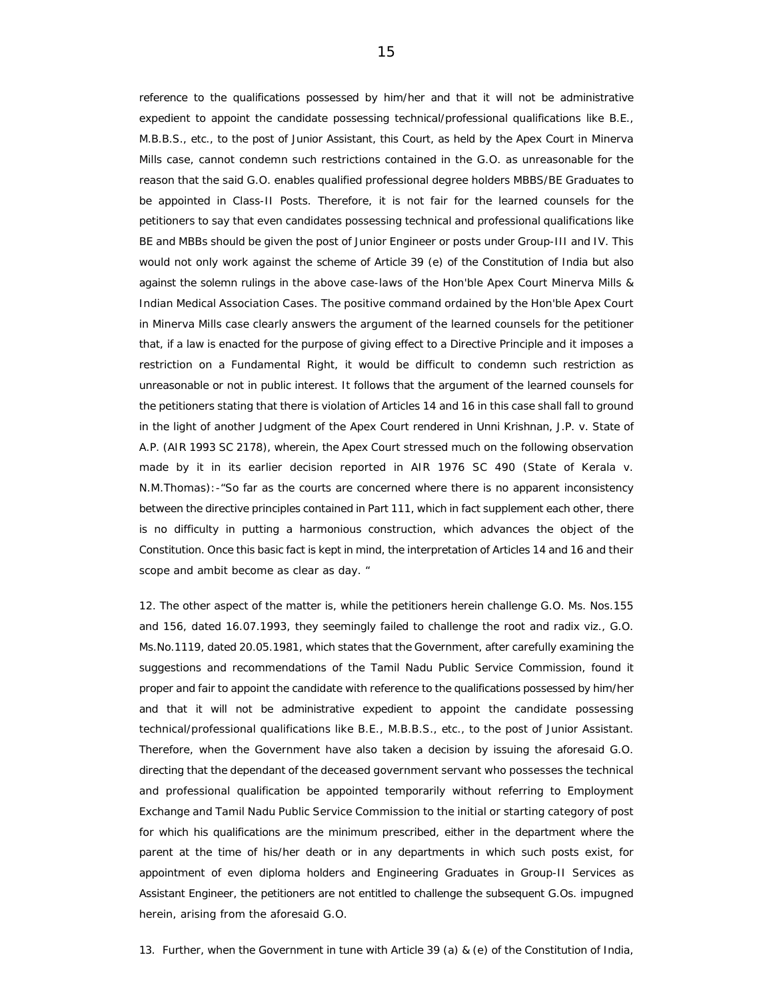reference to the qualifications possessed by him/her and that it will not be administrative expedient to appoint the candidate possessing technical/professional qualifications like B.E., M.B.B.S., etc., to the post of Junior Assistant, this Court, as held by the Apex Court in Minerva Mills case, cannot condemn such restrictions contained in the G.O. as unreasonable for the reason that the said G.O. enables qualified professional degree holders MBBS/BE Graduates to be appointed in Class-II Posts. Therefore, it is not fair for the learned counsels for the petitioners to say that even candidates possessing technical and professional qualifications like BE and MBBs should be given the post of Junior Engineer or posts under Group-III and IV. This would not only work against the scheme of Article 39 (e) of the Constitution of India but also against the solemn rulings in the above case-laws of the Hon'ble Apex Court Minerva Mills & Indian Medical Association Cases. The positive command ordained by the Hon'ble Apex Court in Minerva Mills case clearly answers the argument of the learned counsels for the petitioner that, if a law is enacted for the purpose of giving effect to a Directive Principle and it imposes a restriction on a Fundamental Right, it would be difficult to condemn such restriction as unreasonable or not in public interest. It follows that the argument of the learned counsels for the petitioners stating that there is violation of Articles 14 and 16 in this case shall fall to ground in the light of another Judgment of the Apex Court rendered in Unni Krishnan, J.P. v. State of A.P. (AIR 1993 SC 2178), wherein, the Apex Court stressed much on the following observation made by it in its earlier decision reported in AIR 1976 SC 490 (State of Kerala v. N.M.Thomas):-"So far as the courts are concerned where there is no apparent inconsistency between the directive principles contained in Part 111, which in fact supplement each other, there is no difficulty in putting a harmonious construction, which advances the object of the Constitution. Once this basic fact is kept in mind, the interpretation of Articles 14 and 16 and their scope and ambit become as clear as day. "

12. The other aspect of the matter is, while the petitioners herein challenge G.O. Ms. Nos.155 and 156, dated 16.07.1993, they seemingly failed to challenge the root and radix viz., G.O. Ms.No.1119, dated 20.05.1981, which states that the Government, after carefully examining the suggestions and recommendations of the Tamil Nadu Public Service Commission, found it proper and fair to appoint the candidate with reference to the qualifications possessed by him/her and that it will not be administrative expedient to appoint the candidate possessing technical/professional qualifications like B.E., M.B.B.S., etc., to the post of Junior Assistant. Therefore, when the Government have also taken a decision by issuing the aforesaid G.O. directing that the dependant of the deceased government servant who possesses the technical and professional qualification be appointed temporarily without referring to Employment Exchange and Tamil Nadu Public Service Commission to the initial or starting category of post for which his qualifications are the minimum prescribed, either in the department where the parent at the time of his/her death or in any departments in which such posts exist, for appointment of even diploma holders and Engineering Graduates in Group-II Services as Assistant Engineer, the petitioners are not entitled to challenge the subsequent G.Os. impugned herein, arising from the aforesaid G.O.

13. Further, when the Government in tune with Article 39 (a) & (e) of the Constitution of India,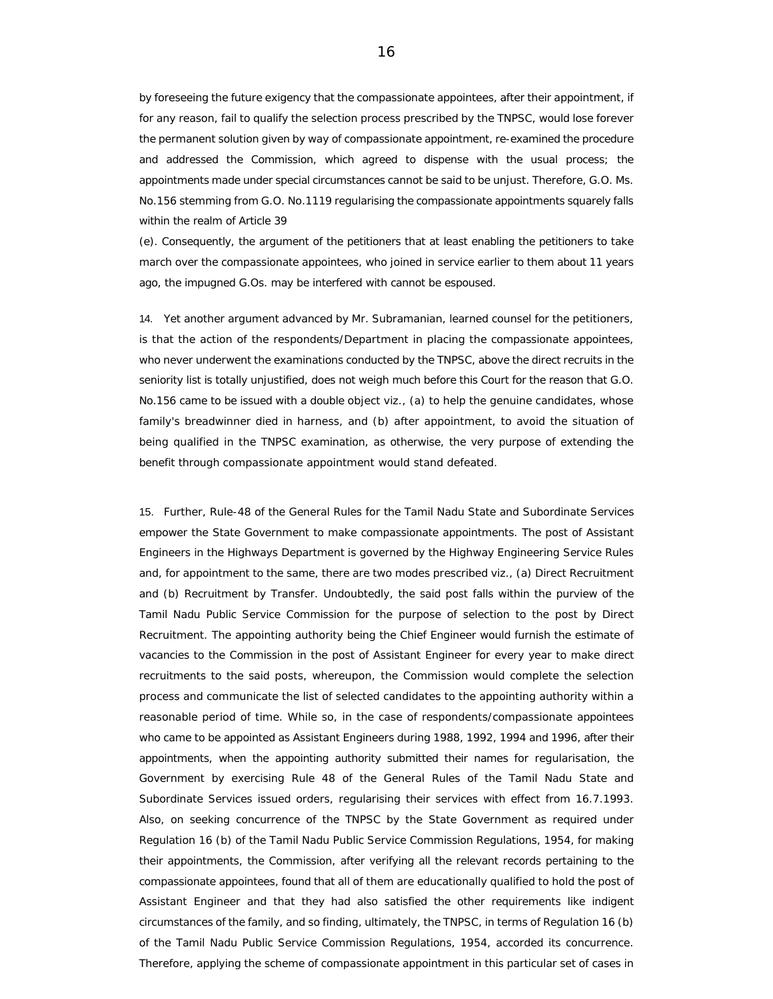by foreseeing the future exigency that the compassionate appointees, after their appointment, if for any reason, fail to qualify the selection process prescribed by the TNPSC, would lose forever the permanent solution given by way of compassionate appointment, re-examined the procedure and addressed the Commission, which agreed to dispense with the usual process; the appointments made under special circumstances cannot be said to be unjust. Therefore, G.O. Ms. No.156 stemming from G.O. No.1119 regularising the compassionate appointments squarely falls within the realm of Article 39

(e). Consequently, the argument of the petitioners that at least enabling the petitioners to take march over the compassionate appointees, who joined in service earlier to them about 11 years ago, the impugned G.Os. may be interfered with cannot be espoused.

14. Yet another argument advanced by Mr. Subramanian, learned counsel for the petitioners, is that the action of the respondents/Department in placing the compassionate appointees, who never underwent the examinations conducted by the TNPSC, above the direct recruits in the seniority list is totally unjustified, does not weigh much before this Court for the reason that G.O. No.156 came to be issued with a double object viz., (a) to help the genuine candidates, whose family's breadwinner died in harness, and (b) after appointment, to avoid the situation of being qualified in the TNPSC examination, as otherwise, the very purpose of extending the benefit through compassionate appointment would stand defeated.

15. Further, Rule-48 of the General Rules for the Tamil Nadu State and Subordinate Services empower the State Government to make compassionate appointments. The post of Assistant Engineers in the Highways Department is governed by the Highway Engineering Service Rules and, for appointment to the same, there are two modes prescribed viz., (a) Direct Recruitment and (b) Recruitment by Transfer. Undoubtedly, the said post falls within the purview of the Tamil Nadu Public Service Commission for the purpose of selection to the post by Direct Recruitment. The appointing authority being the Chief Engineer would furnish the estimate of vacancies to the Commission in the post of Assistant Engineer for every year to make direct recruitments to the said posts, whereupon, the Commission would complete the selection process and communicate the list of selected candidates to the appointing authority within a reasonable period of time. While so, in the case of respondents/compassionate appointees who came to be appointed as Assistant Engineers during 1988, 1992, 1994 and 1996, after their appointments, when the appointing authority submitted their names for regularisation, the Government by exercising Rule 48 of the General Rules of the Tamil Nadu State and Subordinate Services issued orders, regularising their services with effect from 16.7.1993. Also, on seeking concurrence of the TNPSC by the State Government as required under Regulation 16 (b) of the Tamil Nadu Public Service Commission Regulations, 1954, for making their appointments, the Commission, after verifying all the relevant records pertaining to the compassionate appointees, found that all of them are educationally qualified to hold the post of Assistant Engineer and that they had also satisfied the other requirements like indigent circumstances of the family, and so finding, ultimately, the TNPSC, in terms of Regulation 16 (b) of the Tamil Nadu Public Service Commission Regulations, 1954, accorded its concurrence. Therefore, applying the scheme of compassionate appointment in this particular set of cases in